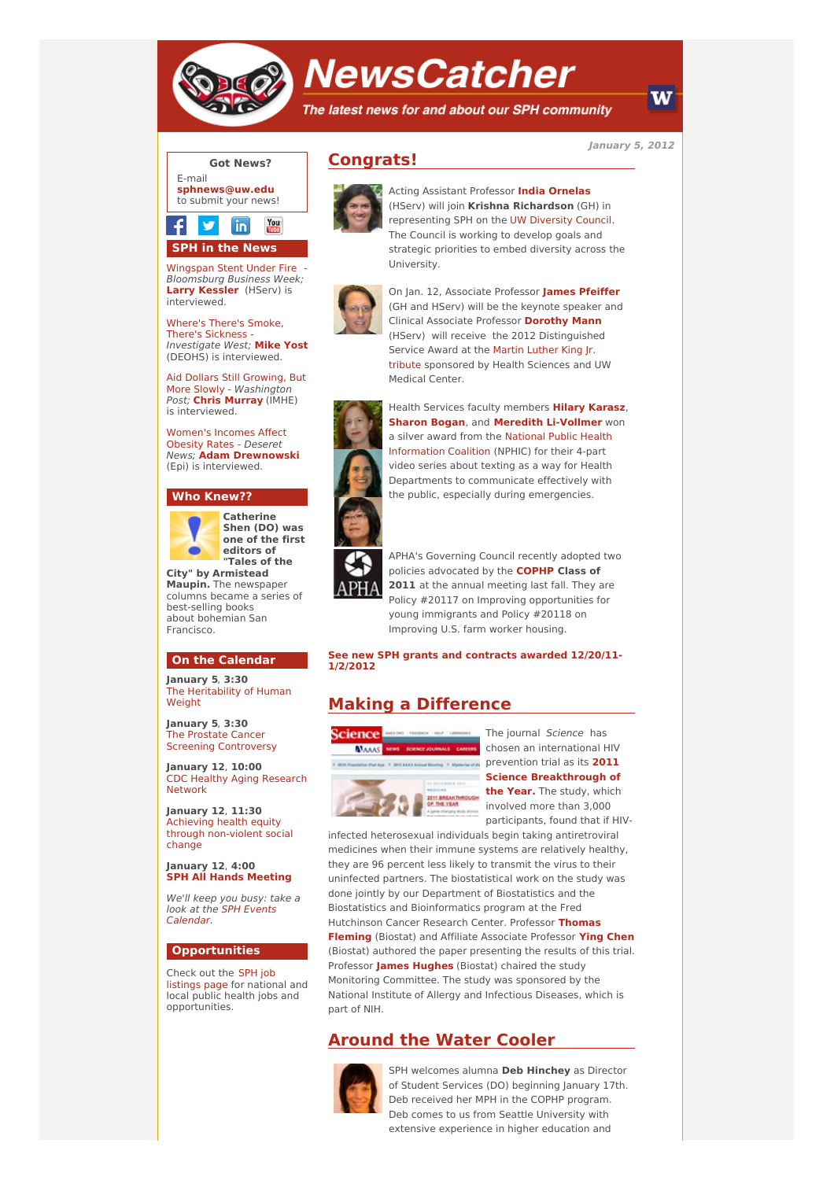

# **NewsCatcher**

The latest news for and about our SPH community

**January 5, 2012**



### You in **SPH in the News**

[Wingspan](http://engage.washington.edu/site/R?i=BSl276FD6x8qjbgfgiZFnw) Stent Under Fire - Bloomsburg Business Week; **Larry [Kessler](http://engage.washington.edu/site/R?i=tEYIoYKJ315QWPkhHAkhpw)** (HServ) is interviewed.

Where's There's Smoke, There's [Sickness](http://engage.washington.edu/site/R?i=orYOn5lw3F9w-lb9viIPAQ) Investigate West; **[Mike](http://engage.washington.edu/site/R?i=EWT8Ze-Oe8XKjg3Ouxh-Lw) Yost** (DEOHS) is interviewed.

Aid Dollars Still Growing, But More Slowly - [Washington](http://engage.washington.edu/site/R?i=seorX723TU8daNXFtG9COw) Post; **Chris [Murray](http://engage.washington.edu/site/R?i=xIpXLIlgZX1XPfl4YoZJ6A)** (IMHE) is interviewed.

[Women's](http://engage.washington.edu/site/R?i=1hQecytFgRrkRIwa60CWCQ) Incomes Affect Obesity Rates - Deseret News; **Adam [Drewnowski](http://engage.washington.edu/site/R?i=1I4Ho6lzvrlo_y3S-NK8Nw)** (Epi) is interviewed.

## **Who Knew??**



**Catherine Shen (DO) was one of the first editors of "Tales of the**

**City" by Armistead Maupin.** The newspaper columns became a series of best-selling books about bohemian San **Francisco** 

#### **On the Calendar**

**January 5**, **3:30** The [Heritability](http://engage.washington.edu/site/R?i=kRHNiIXuhRm7504dX_6N6Q) of Human **Weight** 

**January 5**, **3:30** The Prostate Cancer Screening [Controversy](http://engage.washington.edu/site/R?i=vypIQkalLMeelHx00HodSQ)

**January 12**, **10:00** CDC Healthy Aging [Research](http://engage.washington.edu/site/R?i=Q-aqEv1m7YwjMf1EyIO1Jg) Network

**January 12**, **11:30** Achieving health equity through [non-violent](http://engage.washington.edu/site/R?i=viHXNDm1ITd85yp4wo9U-w) social change

**January 12**, **4:00 SPH All Hands [Meeting](http://engage.washington.edu/site/R?i=LPz5EnROkSOe2lkAutENoA)**

We'll keep you busy: take a look at the SPH Events [Calendar.](http://engage.washington.edu/site/R?i=vD4GcvHp7pDjO94qsLmB2A)

#### **Opportunities**

Check out the SPH job [listings](http://engage.washington.edu/site/R?i=g-iqeujHJdwBvERpfC1FLA) page for national and local public health jobs and opportunities.



**Congrats!**

Acting Assistant Professor **India [Ornelas](http://engage.washington.edu/site/R?i=DsrKPhR9UDooZVVuA4TXxQ)** (HServ) will join **Krishna Richardson** (GH) in representing SPH on the UW [Diversity](http://engage.washington.edu/site/R?i=gt3ttIHH1i3egwh_wHTxkQ) Council. The Council is working to develop goals and strategic priorities to embed diversity across the University.



On Jan. 12, Associate Professor **James [Pfeiffer](http://engage.washington.edu/site/R?i=ugFNld3HuHxb55Z_dG4MAg)** (GH and HServ) will be the keynote speaker and Clinical Associate Professor **[Dorothy](http://engage.washington.edu/site/R?i=kgI_me94X4oBuaASxjj5IA) Mann** (HServ) will receive the 2012 Distinguished Service Award at the Martin Luther King Jr. tribute [sponsored](http://engage.washington.edu/site/R?i=1eMWG_DoWsr7WedulP67wg) by Health Sciences and UW Medical Center.



Health Services faculty members **Hilary [Karasz](http://engage.washington.edu/site/R?i=j9M5QkQVMEWMCU09rlXpmw)**, **[Sharon](http://engage.washington.edu/site/R?i=FXGFnv2AVdbSUlqiGK_qcw) Bogan**, and **Meredith [Li-Vollmer](http://engage.washington.edu/site/R?i=QRT0L11Wxx-7BAFXbN1NOQ)** won a silver award from the National Public Health [Information](http://engage.washington.edu/site/R?i=H_SIKfOWWUHkzOkn765J0g) Coalition (NPHIC) for their 4-part video series about texting as a way for Health Departments to communicate effectively with the public, especially during emergencies.

APHA's Governing Council recently adopted two policies advocated by the **[COPHP](http://engage.washington.edu/site/R?i=plXvH95XPAgU06Mfe_eLCA) Class of** 2011 at the annual meeting last fall. They are Policy #20117 on Improving opportunities for young immigrants and Policy #20118 on Improving U.S. farm worker housing.

#### **See new SPH grants and [contracts](http://engage.washington.edu/site/R?i=ZNAXk18nu1IBHRhy0R2VOw) awarded 12/20/11- 1/2/2012**

# **Making a Difference**



The journal Science has chosen an international HIV prevention trial as its **2011 Science [Breakthrough](http://engage.washington.edu/site/R?i=oshbTzId92YqNCheuGbiGA) of the Year.** The study, which involved more than 3,000 participants, found that if HIV-

infected heterosexual individuals begin taking antiretroviral medicines when their immune systems are relatively healthy, they are 96 percent less likely to transmit the virus to their uninfected partners. The biostatistical work on the study was done jointly by our Department of Biostatistics and the Biostatistics and Bioinformatics program at the Fred [Hutchinson](http://engage.washington.edu/site/R?i=qDimZMkRfefkLIlZo2W-ew) Cancer Research Center. Professor **Thomas Fleming** (Biostat) and Affiliate Associate Professor **Ying [Chen](http://engage.washington.edu/site/R?i=gpCSOW73gi1icaDMq83ouA)** (Biostat) authored the paper presenting the results of this trial. Professor **James [Hughes](http://engage.washington.edu/site/R?i=r60rODWxzEYKCukQjCn9Gg)** (Biostat) chaired the study Monitoring Committee. The study was sponsored by the National Institute of Allergy and Infectious Diseases, which is part of NIH.

# **Around the Water Cooler**



SPH welcomes alumna **Deb Hinchey** as Director of Student Services (DO) beginning January 17th. Deb received her MPH in the COPHP program. Deb comes to us from Seattle University with extensive experience in higher education and

W